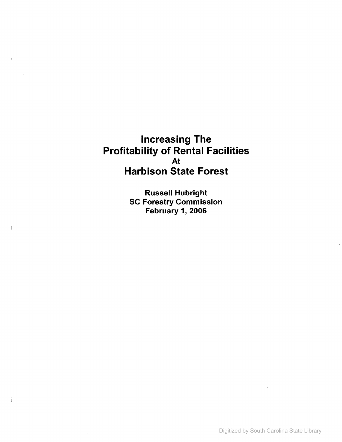# **Increasing The Profitability of Rental Facilities** At **Harbison State Forest**

Russell Hubright SC Forestry Commission February 1, 2006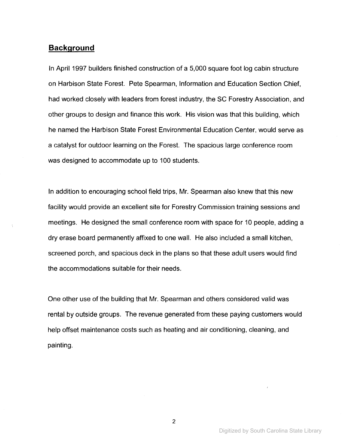## **Background**

In April 1997 builders finished construction of a 5,000 square foot log cabin structure on Harbison State Forest. Pete Spearman, Information and Education Section Chief, had worked closely with leaders from forest industry, the SC Forestry Association, and other groups to design and finance this work. His vision was that this building, which he named the Harbison State Forest Environmental Education Center, would serve as a catalyst for outdoor learning on the Forest. The spacious large conference room was designed to accommodate up to 100 students.

In addition to encouraging school field trips, Mr. Spearman also knew that this new facility would provide an excellent site for Forestry Commission training sessions and meetings. He designed the small conference room with space for 10 people, adding a dry erase board permanently affixed to one wall. He also included a small kitchen, screened porch, and spacious deck in the plans so that these adult users would find the accommodations suitable for their needs.

One other use of the building that Mr. Spearman and others considered valid was rental by outside groups. The revenue generated from these paying customers would help offset maintenance costs such as heating and air conditioning, cleaning, and painting.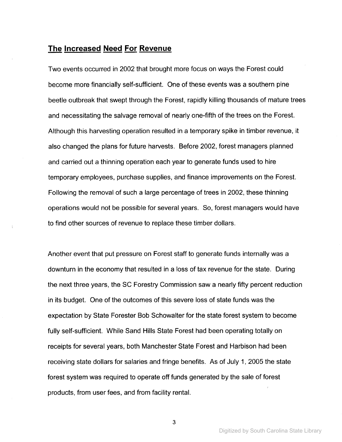## **The Increased Need For Revenue**

Two events occurred in 2002 that brought more focus on ways the Forest could become more financially self-sufficient. One of these events was a southern pine beetle outbreak that swept through the Forest, rapidly killing thousands of mature trees and necessitating the salvage removal of nearly one-fifth of the trees on the Forest. Although this harvesting operation resulted in a temporary spike in timber revenue, it also changed the plans for future harvests. Before 2002, forest managers planned and carried out a thinning operation each year to generate funds used to hire temporary employees, purchase supplies, and finance improvements on the Forest. Following the removal of such a large percentage of trees in 2002, these thinning operations would not be possible for several years. So, forest managers would have to find other sources of revenue to replace these timber dollars.

Another event that put pressure on Forest staff to generate funds internally was a downturn in the economy that resulted in a loss of tax revenue for the state. During the next three years, the SC Forestry Commission saw a nearly fifty percent reduction in its budget. One of the outcomes of this severe loss of state funds was the expectation by State Forester Bob Schowalter for the state forest system to become fully self-sufficient. While Sand Hills State Forest had been operating totally on receipts for several years, both Manchester State Forest and Harbison had been receiving state dollars for salaries and fringe benefits. As of July 1, 2005 the state forest system was required to operate off funds generated by the sale of forest products, from user fees, and from facility rental.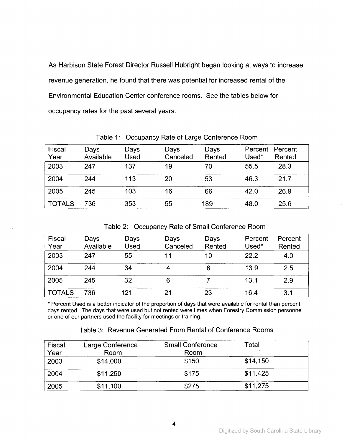As Harbison State Forest Director Russell Hubright began looking at ways to increase revenue generation, he found that there was potential for increased rental of the Environmental Education Center conference rooms. See the tables below for occupancy rates for the past several years.

| <b>Fiscal</b><br>Year | Days<br>Available | Days<br>Used | Days<br>Canceled | Days<br>Rented | Percent<br>Used* | Percent<br>Rented |
|-----------------------|-------------------|--------------|------------------|----------------|------------------|-------------------|
| 2003                  | 247               | 137          | 19               | 70             | 55.5             | 28.3              |
| 2004                  | 244               | 113          | 20               | 53             | 46.3             | 21.7              |
| 2005                  | 245               | 103          | 16               | 66             | 42.0             | 26.9              |
| <b>TOTALS</b>         | 736               | 353          | 55               | 189            | 48.0             | 25.6              |

Table 1: Occupancy Rate of Large Conference Room

|  |  |  |  | Table 2: Occupancy Rate of Small Conference Room |  |
|--|--|--|--|--------------------------------------------------|--|
|--|--|--|--|--------------------------------------------------|--|

| Fiscal<br>Year | Days<br>Available | Days<br><b>Used</b> | Days<br>Canceled | Days<br>Rented | Percent<br>Used* | Percent<br>Rented |
|----------------|-------------------|---------------------|------------------|----------------|------------------|-------------------|
| 2003           | 247               | 55                  |                  | 10             | 22.2             | 4.0               |
| 2004           | 244               | 34                  | Δ                | 6              | 13.9             | 2.5               |
| 2005           | 245               | 32                  | 6                |                | 13.1             | 2.9               |
| <b>TOTALS</b>  | 736               | 121                 | 21               | 23             | 16.4             | 3.1               |

÷

\* Percent Used is a better indicator of the proportion of days that were available for rental than percent days rented. The days that were used but not rented were times when Forestry Commission personnel or one of our partners used the facility for meetings or training.

| Table 3: Revenue Generated From Rental of Conference Rooms |  |
|------------------------------------------------------------|--|
|------------------------------------------------------------|--|

| Fiscal<br>Year | Large Conference<br>Room | <b>Small Conference</b><br>Room | Total    |
|----------------|--------------------------|---------------------------------|----------|
| 2003           | \$14,000                 | \$150                           | \$14,150 |
| 2004           | \$11,250                 | \$175                           | \$11.425 |
| 2005           | \$11,100                 | \$275                           | \$11,275 |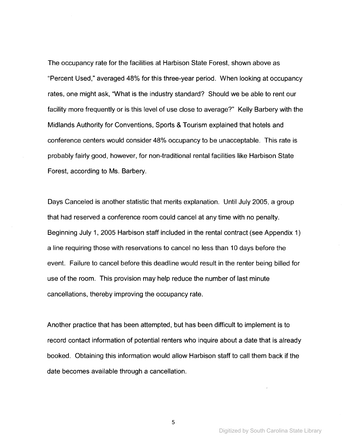The occupancy rate for the facilities at Harbison State Forest, shown above as "Percent Used," averaged 48% for this three-year period. When looking at occupancy rates, one might ask, "What is the industry standard? Should we be able to rent our facility more frequently or is this level of use close to average?" Kelly Barbery with the Midlands Authority for Conventions, Sports & Tourism explained that hotels and conference centers would consider 48% occupancy to be unacceptable. This rate is probably fairly good, however, for non-traditional rental facilities like Harbison State Forest, according to Ms. Barbery.

Days Canceled is another statistic that merits explanation. Until July 2005, a group that had reserved a conference room could cancel at any time with no penalty. Beginning July 1, 2005 Harbison staff included in the rental contract (see Appendix 1) a line requiring those with reservations to cancel no less than 10 days before the event. Failure to cancel before this deadline would result in the renter being billed for use of the room. This provision may help reduce the number of last minute cancellations, thereby improving the occupancy rate.

Another practice that has been attempted, but has been difficult to implement is to record contact information of potential renters who inquire about a date that is already booked. Obtaining this information would allow Harbison staff to call them back if the date becomes available through a cancellation.

Digitized by South Carolina State Library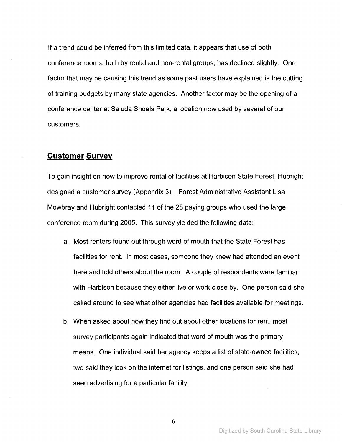If a trend could be inferred from this limited data, it appears that use of both conference rooms, both by rental and non-rental groups, has declined slightly. One factor that may be causing this trend as some past users have explained is the cutting of training budgets by many state agencies. Another factor may be the opening of a conference center at Saluda Shoals Park, a location now used by several of our customers.

## **Customer Survey**

To gain insight on how to improve rental of facilities at Harbison State Forest, Hubright designed a customer survey (Appendix 3). Forest Administrative Assistant Lisa Mowbray and Hubright contacted 11 of the 28 paying groups who used the large conference room during 2005. This survey yielded the following data:

- a. Most renters found out through word of mouth that the State Forest has facilities for rent. In most cases, someone they knew had attended an event here and told others about the room. A couple of respondents were familiar with Harbison because they either live or work close by. One person said she called around to see what other agencies had facilities available for meetings.
- b. When asked about how they find out about other locations for rent, most survey participants again indicated that word of mouth was the primary means. One individual said her agency keeps a list of state-owned facilities, two said they look on the internet for listings, and one person said she had seen advertising for a particular facility.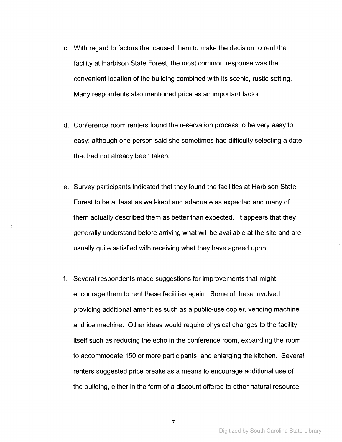- c. With regard to factors that caused them to make the decision to rent the facility at Harbison State Forest, the most common response was the convenient location of the building combined with its scenic, rustic setting. Many respondents also mentioned price as an important factor.
- d. Conference room renters found the reservation process to be very easy to easy; although one person said she sometimes had difficulty selecting a date that had not already been taken.
- e. Survey participants indicated that they found the facilities at Harbison State Forest to be at least as well-kept and adequate as expected and many of them actually described them as better than expected. It appears that they generally understand before arriving what will be available at the site and are usually quite satisfied with receiving what they have agreed upon.
- f. Several respondents made suggestions for improvements that might encourage them to rent these facilities again. Some of these involved providing additional amenities such as a public-use copier, vending machine, and ice machine. Other ideas would require physical changes to the facility itself such as reducing the echo in the conference room, expanding the room to accommodate 150 or more participants, and enlarging the kitchen. Several renters suggested price breaks as a means to encourage additional use of the building, either in the form of a discount offered to other natural resource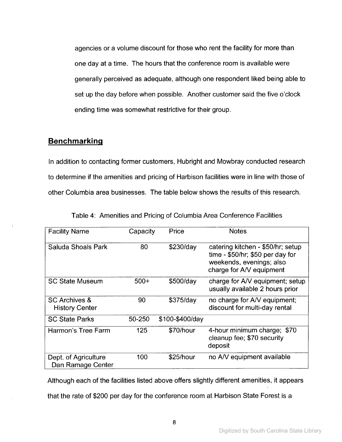agencies or a volume discount for those who rent the facility for more than one day at a time. The hours that the conference room is available were generally perceived as adequate, although one respondent liked being able to set up the day before when possible. Another customer said the five o'clock ending time was somewhat restrictive for their group.

## **Benchmarking**

In addition to contacting former customers, Hubright and Mowbray conducted research to determine if the amenities and pricing of Harbison facilities were in line with those of other Columbia area businesses. The table below shows the results of this research.

| <b>Facility Name</b>                              | Capacity | Price           | <b>Notes</b>                                                                                                                    |
|---------------------------------------------------|----------|-----------------|---------------------------------------------------------------------------------------------------------------------------------|
| Saluda Shoals Park                                | 80       | \$230/day       | catering kitchen - \$50/hr; setup<br>time - $$50/hr$ ; \$50 per day for<br>weekends, evenings; also<br>charge for A/V equipment |
| <b>SC State Museum</b>                            | $500+$   | \$500/day       | charge for A/V equipment; setup<br>usually available 2 hours prior                                                              |
| <b>SC Archives &amp;</b><br><b>History Center</b> | 90       | \$375/day       | no charge for A/V equipment;<br>discount for multi-day rental                                                                   |
| <b>SC State Parks</b>                             | 50-250   | \$100-\$400/day |                                                                                                                                 |
| Harmon's Tree Farm                                | 125      | \$70/hour       | 4-hour minimum charge; \$70<br>cleanup fee; \$70 security<br>deposit                                                            |
| Dept. of Agriculture<br>Dan Ramage Center         | 100      | \$25/hour       | no A/V equipment available                                                                                                      |

| Table 4: Amenities and Pricing of Columbia Area Conference Facilities |  |
|-----------------------------------------------------------------------|--|
|-----------------------------------------------------------------------|--|

Although each of the facilities listed above offers slightly different amenities, it appears

that the rate of \$200 per day for the conference room at Harbison State Forest is a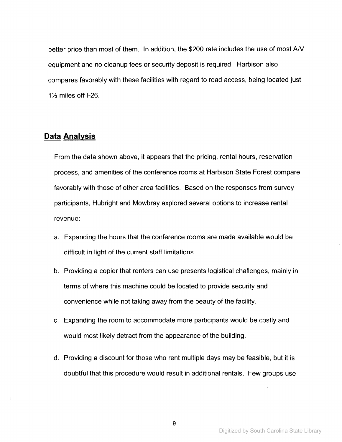better price than most of them. **In** addition, the \$200 rate includes the use of most AN equipment and no cleanup fees or security deposit is required. Harbison also compares favorably with these facilities with regard to road access, being located just  $1\frac{1}{2}$  miles off I-26.

## **Data Analysis**

From the data shown above, it appears that the pricing, rental hours, reservation process, and amenities of the conference rooms at Harbison State Forest compare favorably with those of other area facilities. Based on the responses from survey participants, Hubright and Mowbray explored several options to increase rental revenue:

- a. Expanding the hours that the conference rooms are made available would be difficult in light of the current staff limitations.
- b. Providing a copier that renters can use presents logistical challenges, mainly in terms of where this machine could be located to provide security and convenience while not taking away from the beauty of the facility.
- c. Expanding the room to accommodate more participants would be costly and would most likely detract from the appearance of the building.
- d. Providing a discount for those who rent multiple days may be feasible, but it is doubtful that this procedure would result in additional rentals. Few groups use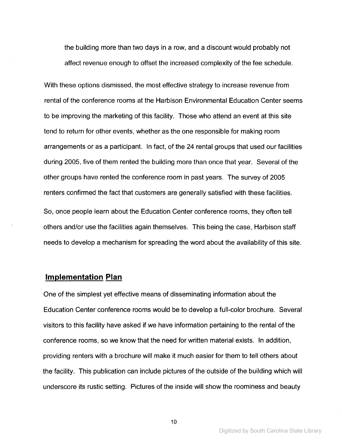the building more than two days in a row, and a discount would probably not affect revenue enough to offset the increased complexity of the fee schedule.

With these options dismissed, the most effective strategy to increase revenue from rental of the conference rooms at the Harbison Environmental Education Center seems to be improving the marketing of this facility. Those who attend an event at this site tend to return for other events, whether as the one responsible for making room arrangements or as a participant. In fact, of the 24 rental groups that used our facilities during 2005, five of them rented the building more than once that year. Several of the other groups have rented the conference room in past years. The survey of 2005 renters confirmed the fact that customers are generally satisfied with these facilities. So, once people learn about the Education Center conference rooms, they often tell others and/or use the facilities again themselves. This being the case, Harbison staff needs to develop a mechanism for spreading the word about the availability of this site.

### **Implementation Plan**

One of the simplest yet effective means of disseminating information about the Education Center conference rooms would be to develop a full-color brochure. Several visitors to this facility have asked if we have information pertaining to the rental of the conference rooms, so we know that the need for written material exists. In addition, providing renters with a brochure will make it much easier for them to tell others about the facility. This publication can include pictures of the outside of the building which will underscore its rustic setting. Pictures of the inside will show the roominess and beauty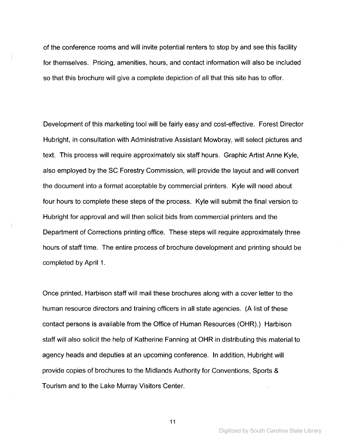of the conference rooms and will invite potential renters to stop by and see this facility for themselves. Pricing, amenities, hours, and contact information will also be included so that this brochure will give a complete depiction of all that this site has to offer.

Development of this marketing tool will be fairly easy and cost-effective. Forest Director Hubright, in consultation with Administrative Assistant Mowbray, will select pictures and text. This process will require approximately six staff hours. Graphic Artist Anne Kyle, also employed by the SC Forestry Commission, will provide the layout and will convert the document into a format acceptable by commercial printers. Kyle will need about four hours to complete these steps of the process. Kyle will submit the final version to Hubright for approval and will then solicit bids from commercial printers and the Department of Corrections printing office. These steps will require approximately three hours of staff time. The entire process of brochure development and printing should be completed by April 1.

Once printed, Harbison staff will mail these brochures along with a cover letter to the human resource directors and training officers in all state agencies. (A list of these contact persons is available from the Office of Human Resources (OHR).) Harbison staff will also solicit the help of Katherine Fanning at OHR in distributing this material to agency heads and deputies at an upcoming conference. In addition, Hubright will provide copies of brochures to the Midlands Authority for Conventions, Sports & Tourism and to the Lake Murray Visitors Center.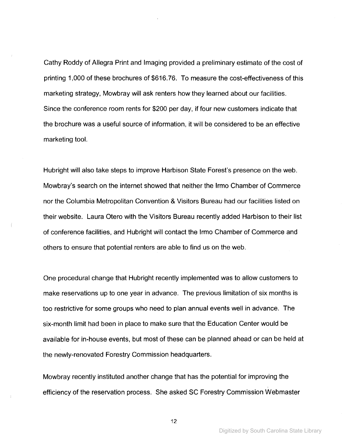Cathy Roddy of Allegra Print and Imaging provided a preliminary estimate of the cost of printing 1,000 of these brochures of \$616.76. To measure the cost-effectiveness of this marketing strategy, Mowbray will ask renters how they learned about our facilities. Since the conference room rents for \$200 per day, if four new customers indicate that the brochure was a useful source of information, it will be considered to be an effective marketing tool.

Hubright will also take steps to improve Harbison State Forest's presence on the web. Mowbray's search on the internet showed that neither the Irmo Chamber of Commerce nor the Columbia Metropolitan Convention & Visitors Bureau had our facilities listed on their website. Laura Otero with the Visitors Bureau recently added Harbison to their list of conference facilities, and Hubright will contact the Irmo Chamber of Commerce and others to ensure that potential renters are able to find us on the web.

One procedural change that Hubright recently implemented was to allow customers to make reservations up to one year in advance. The previous limitation of six months is too restrictive for some groups who need to plan annual events well in advance. The six-month limit had been in place to make sure that the Education Center would be available for in-house events, but most of these can be planned ahead or can be held at the newly-renovated Forestry Commission headquarters.

Mowbray recently instituted another change that has the potential for improving the , efficiency of the reservation process. She asked SC Forestry Commission Webmaster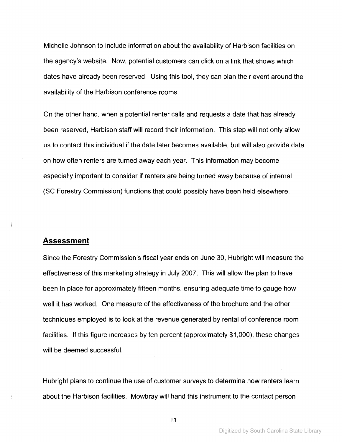Michelle Johnson to include information about the availability of Harbison facilities on the agency's website. Now, potential customers can click on a link that shows which dates have already been reserved. Using this tool, they can plan their event around the availability of the Harbison conference rooms.

On the other hand, when a potential renter calls and requests a date that has already been reserved, Harbison staff will record their information. This step will not only allow us to contact this individual if the date later becomes available, but will also provide data on how often renters are turned away each year. This information may become especially important to consider if renters are being turned away because of internal (SC Forestry Commission) functions that could possibly have been held elsewhere.

## **Assessment**

Since the Forestry Commission's fiscal year ends on June 30, Hubright will measure the effectiveness of this marketing strategy in July 2007. This will allow the plan to have been in place for approximately fifteen months, ensuring adequate time to gauge how well it has worked. One measure of the effectiveness of the brochure and the other techniques employed is to look at the revenue generated by rental of conference room facilities. If this figure increases by ten percent (approximately \$1,000), these changes will be deemed successful.

Hubright plans to continue the use of customer surveys to determine how renters learn about the Harbison facilities. Mowbray will hand this instrument to the contact person

Digitized by South Carolina State Library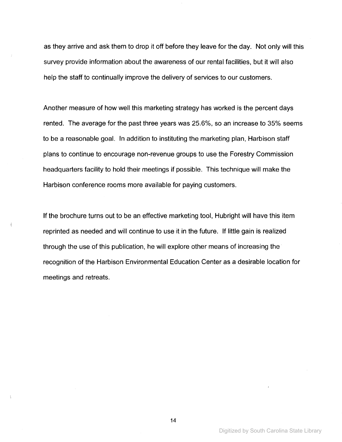as they arrive and ask them to drop it off before they leave for the day. Not only will this survey provide information about the awareness of our rental facilities, but it will also help the staff to continually improve the delivery of services to our customers.

Another measure of how well this marketing strategy has worked is the percent days rented. The average for the past three years was 25.6%, so an increase to 35% seems to be a reasonable goal. In addition to instituting the marketing plan, Harbison staff plans to continue to encourage non-revenue groups to use the Forestry Commission headquarters facility to hold their meetings if possible. This technique will make the Harbison conference rooms more available for paying customers.

**If** the brochure turns out to be an effective marketing tool, Hubright will have this item reprinted as needed and will continue to use it in the future. **If** little gain is realized through the use of this publication, he will explore other means of increasing the recognition of the Harbison Environmental Education Center as a desirable location for meetings and retreats.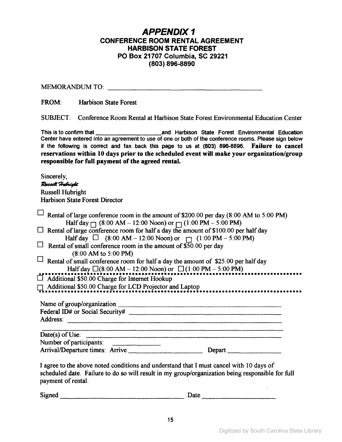## APPENDIX 1 CONFERENCE ROOM RENTAL AGREEMENT HARBISON STATE FOREST PO Box 21707 Columbia, SC 29221 (803) 896-8890

MEMORANDUM TO: www.communication.com

FROM: Harbison State Forest

SUBJECT: Conference Room Rental at Harbison State Forest Environmental Education Center

This is to confirm that **All and Harbison State Forest Environmental Education** Center have entered into an agreement to use of one or both of the conference rooms. Please sign below if the following is correct and fax back this page to us at (803) 896-8896. Failure to cancel reservations within 10 days prior to the scheduled event will make your organization/group responsible for full payment of the agreed rental.

Sincerely, Russell Hubright Russell Hubright Harbison State Forest Director

| Rental of large conference room in the amount of \$200.00 per day (8:00 AM to 5:00 PM)           |            |
|--------------------------------------------------------------------------------------------------|------------|
| Half day $\Box$ (8:00 AM – 12:00 Noon) or $\Box$ (1:00 PM – 5:00 PM)                             |            |
| $\Box$ Rental of large conference room for half a day the amount of \$100.00 per half day        |            |
| Half day $\Box$ (8:00 AM – 12:00 Noon) or $\Box$ (1:00 PM – 5:00 PM)                             |            |
| $\Box$ Rental of small conference room in the amount of \$50.00 per day                          |            |
| $(8.00 \text{ AM to } 5.00 \text{ PM})$                                                          |            |
| $\Box$ Rental of small conference room for half a day the amount of \$25.00 per half day         |            |
| Half day $\Box$ (8:00 AM - 12:00 Noon) or $\Box$ (1:00 PM - 5:00 PM)                             |            |
|                                                                                                  |            |
| Additional \$50.00 Charge for Internet Hookup                                                    |            |
| Additional \$50.00 Charge for LCD Projector and Laptop                                           |            |
|                                                                                                  |            |
|                                                                                                  |            |
|                                                                                                  |            |
| Address:                                                                                         |            |
|                                                                                                  |            |
| $Date(s)$ of Use:                                                                                |            |
| Number of participants:                                                                          |            |
|                                                                                                  | Department |
|                                                                                                  |            |
| I agree to the above noted conditions and understand that I must cancel with 10 days of          |            |
| scheduled date. Failure to do so will result in my group/organization being responsible for full |            |
| payment of rental.                                                                               |            |
|                                                                                                  |            |
|                                                                                                  |            |

 $Signed$ 

| Date |  |
|------|--|
|------|--|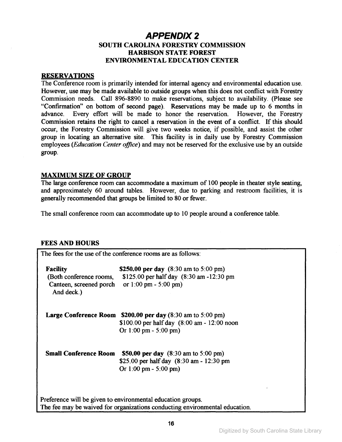## APPEND/X 2 SOUTH CAROLINA FORESTRY COMMISSION HARBISON STATE FOREST ENVIRONMENTAL EDUCATION CENTER

#### RESERVATIONS

The Conference room is primarily intended for internal agency and environmental education use. However, use may be made available to outside groups when this does not conflict with Forestry Commission needs. Call 896-8890 to make reservations, subject to availability. (Please see "Confirmation" on bottom of second page). Reservations may be made up to 6 months in advance. Every effort will be made to honor the reservation. Commission retains the right to cancel a reservation in the event of a conflict. If this should occur, the Forestry Commission will give two weeks notice, if possible, and assist the other group in locating an alternative site. This facility is in daily use by Forestry Commission employees *(Education Center office)* and may not be reserved for the exclusive use by an outside group.

#### MAXIMUM SIZE OF GROUP

The large conference room can accommodate a maximum of 100 people in theater style seating, and approximately 60 around tables. However, due to parking and restroom facilities, it is generally recommended that groups be limited to 80 or fewer.

The small conference room can accommodate up to 10 people around a conference table.

## FEES AND HOURS

| <b>Facility</b>                                                                        | \$250.00 per day $(8:30 \text{ am to } 5:00 \text{ pm})$                                                 |  |
|----------------------------------------------------------------------------------------|----------------------------------------------------------------------------------------------------------|--|
| (Both conference rooms,<br>Canteen, screened porch or 1:00 pm - 5:00 pm)<br>And deck.) | \$125.00 per half day (8:30 am -12:30 pm                                                                 |  |
|                                                                                        | <b>Large Conference Room <math>\$200.00</math> per day (8:30 am to 5:00 pm)</b>                          |  |
|                                                                                        | \$100.00 per half day $(8:00 \text{ am} - 12:00 \text{ noon})$<br>Or $1:00 \text{ pm} - 5:00 \text{ pm}$ |  |
| <b>Small Conference Room</b>                                                           | \$50.00 per day $(8:30 \text{ am to } 5:00 \text{ pm})$                                                  |  |
|                                                                                        | \$25.00 per half day (8:30 am - 12:30 pm                                                                 |  |
|                                                                                        | Or $1:00 \text{ pm} - 5:00 \text{ pm}$                                                                   |  |
|                                                                                        | Preference will be given to environmental education groups.                                              |  |
|                                                                                        | The fee may be waived for organizations conducting environmental education.                              |  |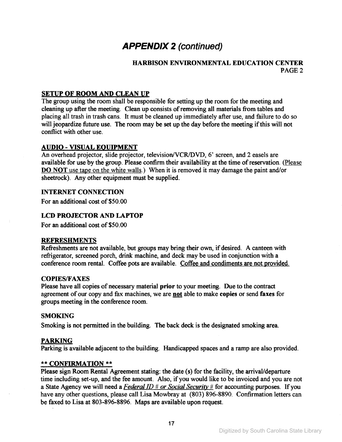# **APPENDIX 2** (continued)

## HARBISON ENVIRONMENTAL EDUCATION CENTER PAGE 2

## SETUP OF ROOM AND CLEAN UP

The group using the room shall be responsible for setting up the room for the meeting and cleaning up after the meeting. Clean up consists of removing all materials from tables and placing all trash in trash cans. It must be cleaned up immediately after use, and failure to do so will jeopardize future use. The room may be set up the day before the meeting if this will not conflict with other use.

## AUDIO - VISUAL EOUIPMENT

An overhead projector, slide projector, television/VCR/DVD, 6' screen, and 2 easels are available for use by the group. Please confirm their availability at the time of reservation. (Please DO NOT use tape on the white walls.) When it is removed it may damage the paint and/or sheetrock). Any other equipment must be supplied.

#### INTERNET CONNECTION

For an additional cost of \$50.00

## LCD PROJECTOR AND LAPTOP

For an additional cost of \$50.00

#### REFRESHMENTS

Refreshments are not available, but groups may bring their own, if desired. A canteen with refrigerator, screened porch, drink machine, and deck may be used in conjunction with a conference room rental. Coffee pots are available. Coffee and condiments are not provided.

#### **COPIES/FAXES**

Please have all copies of necessary material prior to your meeting. Due to the contract agreement of our copy and fax machines, we are not able to make copies or send faxes for groups meeting in the conference room.

## **SMOKING**

Smoking is not permitted in the building. The back deck is the designated smoking area.

## PARKING

Parking is available adjacent to the building. Handicapped spaces and a ramp are also provided.

## \*\* CONFIRMATION \*\*

Please sign Room Rental Agreement stating: the date (s) for the facility, the arrival/departure time including set-up, and the fee amount. Also, if you would like to be invoiced and you are not a State Agency we will need a *Federal ID* # *or Social Security* # for accounting purposes. If you have any other questions, please call Lisa Mowbray at (803) 896-8890. Confirmation letters can be faxed to Lisa at 803-896-8896. Maps are available upon request.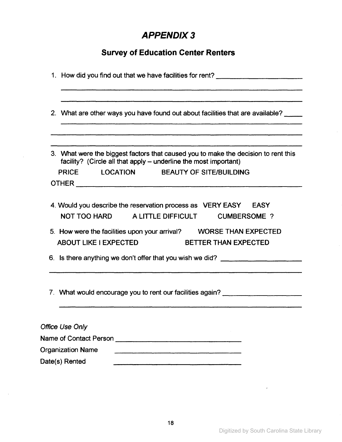# APPENDIX3

# **Survey of Education Center Renters**

| 1. How did you find out that we have facilities for rent?                                                                                              |  |
|--------------------------------------------------------------------------------------------------------------------------------------------------------|--|
| 2. What are other ways you have found out about facilities that are available?                                                                         |  |
|                                                                                                                                                        |  |
| 3. What were the biggest factors that caused you to make the decision to rent this<br>facility? (Circle all that apply - underline the most important) |  |
| PRICE LOCATION BEAUTY OF SITE/BUILDING                                                                                                                 |  |
|                                                                                                                                                        |  |
| 4. Would you describe the reservation process as VERY EASY EASY<br>NOT TOO HARD A LITTLE DIFFICULT CUMBERSOME?                                         |  |
| 5. How were the facilities upon your arrival? WORSE THAN EXPECTED<br>ABOUT LIKE I EXPECTED BETTER THAN EXPECTED                                        |  |
| 6. Is there anything we don't offer that you wish we did?                                                                                              |  |
| 7. What would encourage you to rent our facilities again? ______________________                                                                       |  |
| <b>Office Use Only</b>                                                                                                                                 |  |
|                                                                                                                                                        |  |
| <b>Organization Name</b>                                                                                                                               |  |
| Date(s) Rented                                                                                                                                         |  |

 $\alpha$